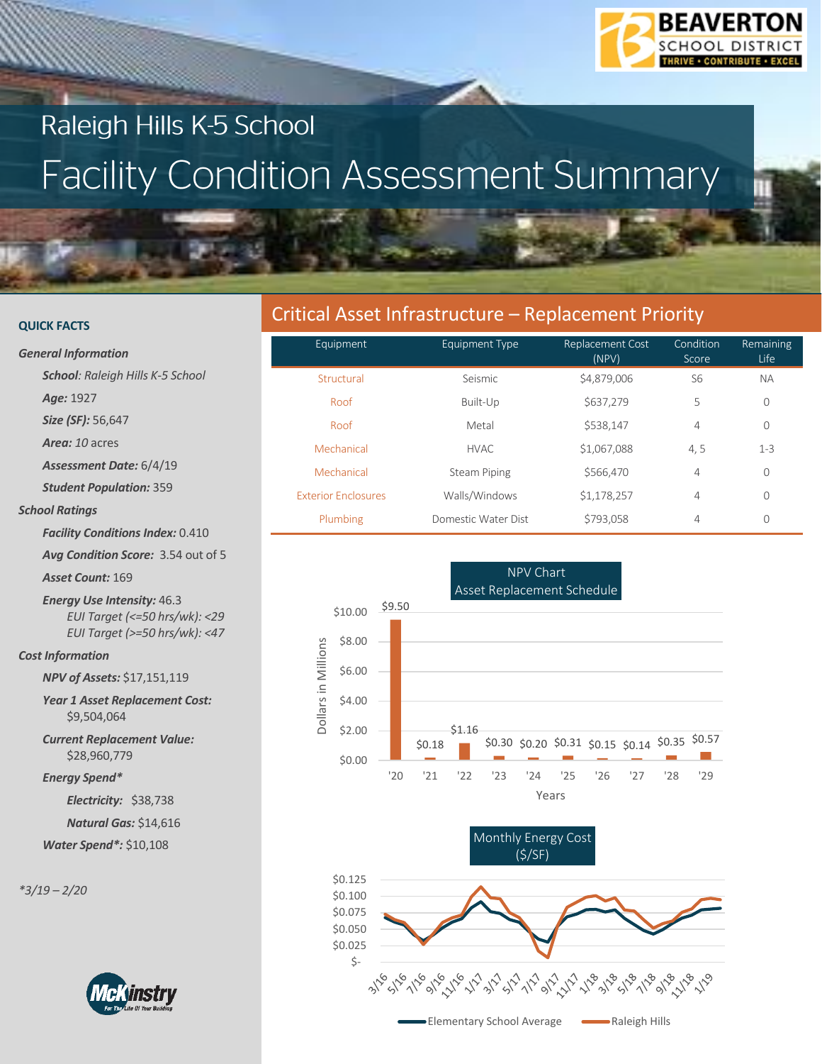

# Raleigh Hills K-5 School **Facility Condition Assessment Summary**

#### **QUICK FACTS**

*General Information*

*School: Raleigh Hills K-5 School*

*Age:* 1927

*Size (SF):* 56,647

*Area: 10* acres

*Assessment Date:* 6/4/19

*Student Population:* 359

#### *School Ratings*

*Facility Conditions Index:* 0.410

*Avg Condition Score:* 3.54 out of 5

*Asset Count:* 169

*Energy Use Intensity:* 46.3 *EUI Target (<=50 hrs/wk): <29 EUI Target (>=50 hrs/wk): <47*

*Cost Information*

*NPV of Assets:* \$17,151,119

*Year 1 Asset Replacement Cost:* \$9,504,064

*Current Replacement Value:* \$28,960,779

*Energy Spend\**

*Electricity:* \$38,738

*Natural Gas:* \$14,616

*Water Spend\*:* \$10,108

*\*3/19 – 2/20*



## Critical Asset Infrastructure – Replacement Priority

| Equipment                  | Equipment Type      | Replacement Cost<br>(NPV) | Condition<br>Score | Remaining<br>Life |
|----------------------------|---------------------|---------------------------|--------------------|-------------------|
| Structural                 | Seismic             | \$4,879,006               | S6                 | <b>NA</b>         |
| Roof                       | Built-Up            | \$637,279                 | 5                  | $\Omega$          |
| Roof                       | Metal               | \$538,147                 | $\overline{4}$     | $\Omega$          |
| Mechanical                 | <b>HVAC</b>         | \$1,067,088               | 4,5                | $1 - 3$           |
| Mechanical                 | <b>Steam Piping</b> | \$566,470                 | $\overline{4}$     | $\Omega$          |
| <b>Exterior Enclosures</b> | Walls/Windows       | \$1,178,257               | $\overline{4}$     | $\bigcap$         |
| Plumbing                   | Domestic Water Dist | \$793,058                 | 4                  | $\Omega$          |